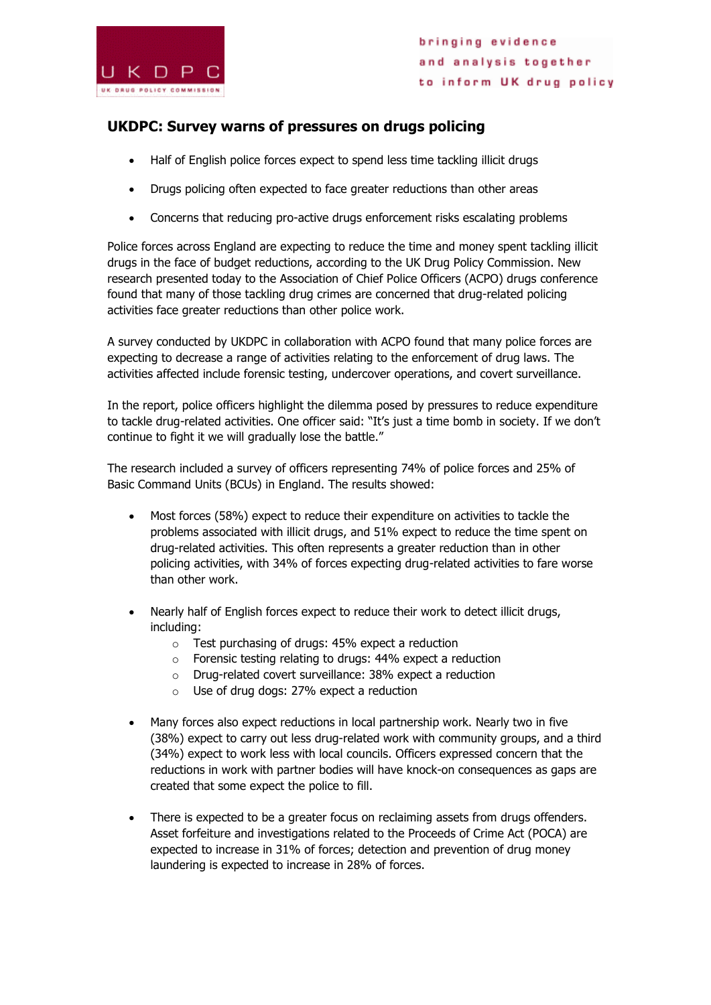

## **UKDPC: Survey warns of pressures on drugs policing**

- Half of English police forces expect to spend less time tackling illicit drugs
- Drugs policing often expected to face greater reductions than other areas
- Concerns that reducing pro-active drugs enforcement risks escalating problems

Police forces across England are expecting to reduce the time and money spent tackling illicit drugs in the face of budget reductions, according to the UK Drug Policy Commission. New research presented today to the Association of Chief Police Officers (ACPO) drugs conference found that many of those tackling drug crimes are concerned that drug-related policing activities face greater reductions than other police work.

A survey conducted by UKDPC in collaboration with ACPO found that many police forces are expecting to decrease a range of activities relating to the enforcement of drug laws. The activities affected include forensic testing, undercover operations, and covert surveillance.

In the report, police officers highlight the dilemma posed by pressures to reduce expenditure to tackle drug-related activities. One officer said: "It's just a time bomb in society. If we don't continue to fight it we will gradually lose the battle."

The research included a survey of officers representing 74% of police forces and 25% of Basic Command Units (BCUs) in England. The results showed:

- Most forces (58%) expect to reduce their expenditure on activities to tackle the problems associated with illicit drugs, and 51% expect to reduce the time spent on drug-related activities. This often represents a greater reduction than in other policing activities, with 34% of forces expecting drug-related activities to fare worse than other work.
- Nearly half of English forces expect to reduce their work to detect illicit drugs, including:
	- o Test purchasing of drugs: 45% expect a reduction
	- o Forensic testing relating to drugs: 44% expect a reduction
	- o Drug-related covert surveillance: 38% expect a reduction
	- o Use of drug dogs: 27% expect a reduction
- Many forces also expect reductions in local partnership work. Nearly two in five (38%) expect to carry out less drug-related work with community groups, and a third (34%) expect to work less with local councils. Officers expressed concern that the reductions in work with partner bodies will have knock-on consequences as gaps are created that some expect the police to fill.
- There is expected to be a greater focus on reclaiming assets from drugs offenders. Asset forfeiture and investigations related to the Proceeds of Crime Act (POCA) are expected to increase in 31% of forces; detection and prevention of drug money laundering is expected to increase in 28% of forces.